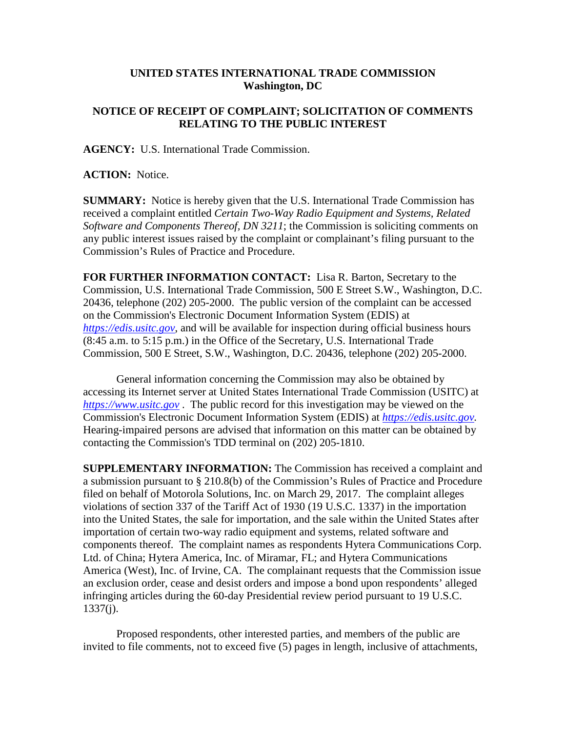## **UNITED STATES INTERNATIONAL TRADE COMMISSION Washington, DC**

## **NOTICE OF RECEIPT OF COMPLAINT; SOLICITATION OF COMMENTS RELATING TO THE PUBLIC INTEREST**

**AGENCY:** U.S. International Trade Commission.

**ACTION:** Notice.

**SUMMARY:** Notice is hereby given that the U.S. International Trade Commission has received a complaint entitled *Certain Two-Way Radio Equipment and Systems, Related Software and Components Thereof, DN 3211*; the Commission is soliciting comments on any public interest issues raised by the complaint or complainant's filing pursuant to the Commission's Rules of Practice and Procedure.

**FOR FURTHER INFORMATION CONTACT:** Lisa R. Barton, Secretary to the Commission, U.S. International Trade Commission, 500 E Street S.W., Washington, D.C. 20436, telephone (202) 205-2000. The public version of the complaint can be accessed on the Commission's Electronic Document Information System (EDIS) at *[https://edis.usitc.gov](https://edis.usitc.gov/)*, and will be available for inspection during official business hours (8:45 a.m. to 5:15 p.m.) in the Office of the Secretary, U.S. International Trade Commission, 500 E Street, S.W., Washington, D.C. 20436, telephone (202) 205-2000.

General information concerning the Commission may also be obtained by accessing its Internet server at United States International Trade Commission (USITC) at *[https://www.usitc.gov](https://www.usitc.gov/)* . The public record for this investigation may be viewed on the Commission's Electronic Document Information System (EDIS) at *[https://edis.usitc.gov.](https://edis.usitc.gov/)* Hearing-impaired persons are advised that information on this matter can be obtained by contacting the Commission's TDD terminal on (202) 205-1810.

**SUPPLEMENTARY INFORMATION:** The Commission has received a complaint and a submission pursuant to § 210.8(b) of the Commission's Rules of Practice and Procedure filed on behalf of Motorola Solutions, Inc. on March 29, 2017. The complaint alleges violations of section 337 of the Tariff Act of 1930 (19 U.S.C. 1337) in the importation into the United States, the sale for importation, and the sale within the United States after importation of certain two-way radio equipment and systems, related software and components thereof. The complaint names as respondents Hytera Communications Corp. Ltd. of China; Hytera America, Inc. of Miramar, FL; and Hytera Communications America (West), Inc. of Irvine, CA. The complainant requests that the Commission issue an exclusion order, cease and desist orders and impose a bond upon respondents' alleged infringing articles during the 60-day Presidential review period pursuant to 19 U.S.C. 1337(j).

Proposed respondents, other interested parties, and members of the public are invited to file comments, not to exceed five (5) pages in length, inclusive of attachments,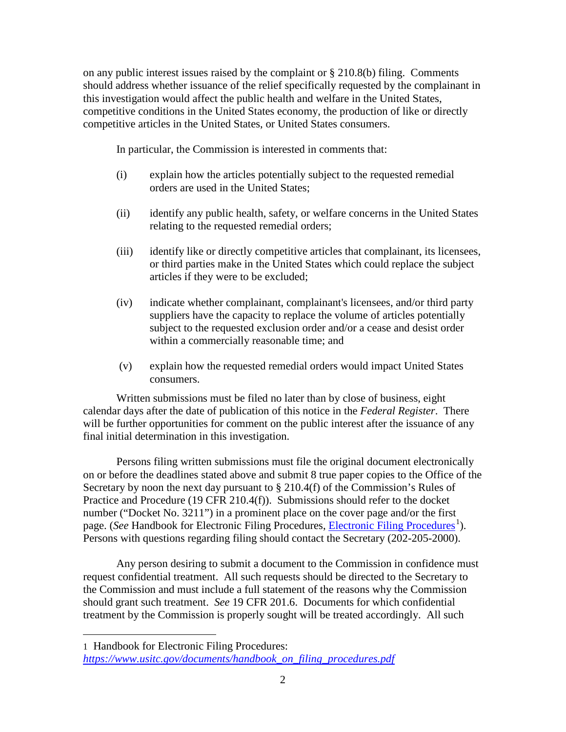on any public interest issues raised by the complaint or § 210.8(b) filing. Comments should address whether issuance of the relief specifically requested by the complainant in this investigation would affect the public health and welfare in the United States, competitive conditions in the United States economy, the production of like or directly competitive articles in the United States, or United States consumers.

In particular, the Commission is interested in comments that:

- (i) explain how the articles potentially subject to the requested remedial orders are used in the United States;
- (ii) identify any public health, safety, or welfare concerns in the United States relating to the requested remedial orders;
- (iii) identify like or directly competitive articles that complainant, its licensees, or third parties make in the United States which could replace the subject articles if they were to be excluded;
- (iv) indicate whether complainant, complainant's licensees, and/or third party suppliers have the capacity to replace the volume of articles potentially subject to the requested exclusion order and/or a cease and desist order within a commercially reasonable time; and
- (v) explain how the requested remedial orders would impact United States consumers.

Written submissions must be filed no later than by close of business, eight calendar days after the date of publication of this notice in the *Federal Register*. There will be further opportunities for comment on the public interest after the issuance of any final initial determination in this investigation.

Persons filing written submissions must file the original document electronically on or before the deadlines stated above and submit 8 true paper copies to the Office of the Secretary by noon the next day pursuant to  $\S 210.4(f)$  of the Commission's Rules of Practice and Procedure (19 CFR 210.4(f)). Submissions should refer to the docket number ("Docket No. 3211") in a prominent place on the cover page and/or the first page. (*See* Handbook for [Electronic Filing Procedures](https://www.usitc.gov/documents/handbook_on_filing_procedures.pdf), *Electronic Filing Procedures*<sup>[1](#page-1-0)</sup>). Persons with questions regarding filing should contact the Secretary (202-205-2000).

Any person desiring to submit a document to the Commission in confidence must request confidential treatment. All such requests should be directed to the Secretary to the Commission and must include a full statement of the reasons why the Commission should grant such treatment. *See* 19 CFR 201.6. Documents for which confidential treatment by the Commission is properly sought will be treated accordingly. All such

 $\overline{a}$ 

<span id="page-1-0"></span><sup>1</sup> Handbook for Electronic Filing Procedures: *[https://www.usitc.gov/documents/handbook\\_on\\_filing\\_procedures.pdf](https://www.usitc.gov/documents/handbook_on_filing_procedures.pdf)*